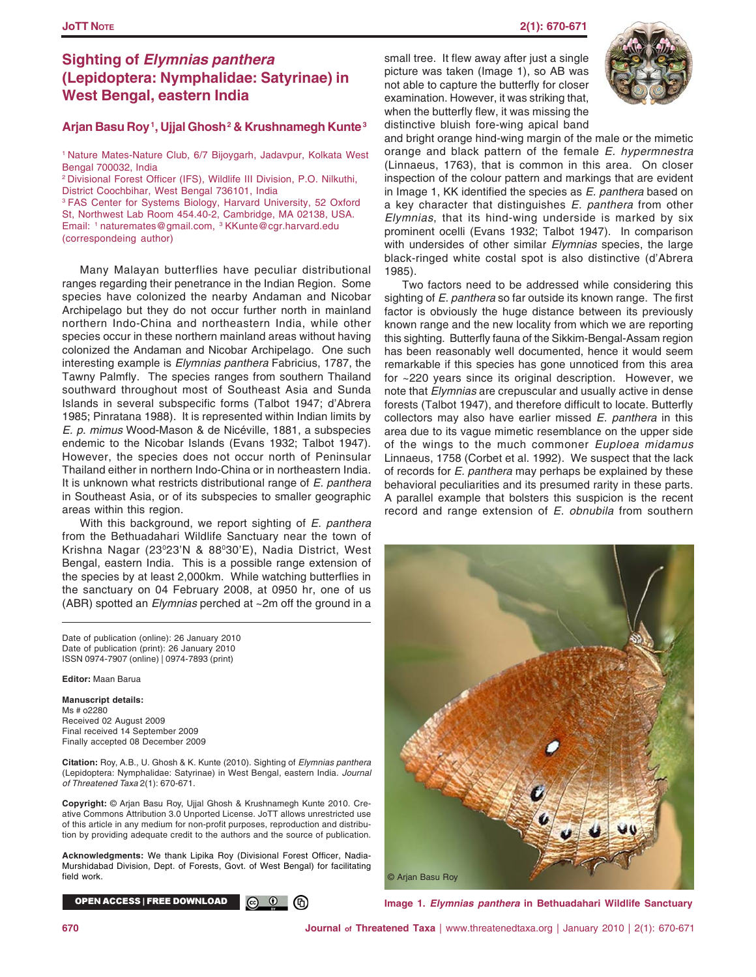## **JoTT NOTE 2(1): 670-671**

# **Sighting of** *Elymnias panthera* **(Lepidoptera: Nymphalidae: Satyrinae) in West Bengal, eastern India**

## **Arjan Basu Roy 1, Ujjal Ghosh 2 & Krushnamegh Kunte 3**

1 Nature Mates-Nature Club, 6/7 Bijoygarh, Jadavpur, Kolkata West Bengal 700032, India

2 Divisional Forest Officer (IFS), Wildlife III Division, P.O. Nilkuthi, District Coochbihar, West Bengal 736101, India 3 FAS Center for Systems Biology, Harvard University, 52 Oxford St, Northwest Lab Room 454.40-2, Cambridge, MA 02138, USA. Email: 1 naturemates@gmail.com, 3 KKunte@cgr.harvard.edu (correspondeing author)

Many Malayan butterflies have peculiar distributional ranges regarding their penetrance in the Indian Region. Some species have colonized the nearby Andaman and Nicobar Archipelago but they do not occur further north in mainland northern Indo-China and northeastern India, while other species occur in these northern mainland areas without having colonized the Andaman and Nicobar Archipelago. One such interesting example is *Elymnias panthera* Fabricius, 1787, the Tawny Palmfly. The species ranges from southern Thailand southward throughout most of Southeast Asia and Sunda Islands in several subspecific forms (Talbot 1947; d'Abrera 1985; Pinratana 1988). It is represented within Indian limits by *E. p. mimus* Wood-Mason & de Nicéville, 1881, a subspecies endemic to the Nicobar Islands (Evans 1932; Talbot 1947). However, the species does not occur north of Peninsular Thailand either in northern Indo-China or in northeastern India. It is unknown what restricts distributional range of *E. panthera* in Southeast Asia, or of its subspecies to smaller geographic areas within this region.

With this background, we report sighting of *E. panthera* from the Bethuadahari Wildlife Sanctuary near the town of Krishna Nagar (23°23'N & 88°30'E), Nadia District, West Bengal, eastern India. This is a possible range extension of the species by at least 2,000km. While watching butterflies in the sanctuary on 04 February 2008, at 0950 hr, one of us (ABR) spotted an *Elymnias* perched at ~2m off the ground in a

Date of publication (online): 26 January 2010 Date of publication (print): 26 January 2010 ISSN 0974-7907 (online) | 0974-7893 (print)

**Editor:** Maan Barua

**Manuscript details:** Ms # o2280 Received 02 August 2009 Final received 14 September 2009 Finally accepted 08 December 2009

**Citation:** Roy, A.B., U. Ghosh & K. Kunte (2010). Sighting of *Elymnias panthera* (Lepidoptera: Nymphalidae: Satyrinae) in West Bengal, eastern India. *Journal of Threatened Taxa* 2(1): 670-671.

**Copyright:** © Arjan Basu Roy, Ujjal Ghosh & Krushnamegh Kunte 2010. Creative Commons Attribution 3.0 Unported License. JoTT allows unrestricted use of this article in any medium for non-profit purposes, reproduction and distribution by providing adequate credit to the authors and the source of publication.

**Acknowledgments:** We thank Lipika Roy (Divisional Forest Officer, Nadia-Murshidabad Division, Dept. of Forests, Govt. of West Bengal) for facilitating field work.

OPEN ACCESS I FREE DOWNLOAD  $\circledcirc$   $\circledcirc$ (6)

small tree. It flew away after just a single picture was taken (Image 1), so AB was not able to capture the butterfly for closer examination. However, it was striking that, when the butterfly flew, it was missing the distinctive bluish fore-wing apical band



and bright orange hind-wing margin of the male or the mimetic orange and black pattern of the female *E. hypermnestra* (Linnaeus, 1763), that is common in this area. On closer inspection of the colour pattern and markings that are evident in Image 1, KK identified the species as *E. panthera* based on a key character that distinguishes *E. panthera* from other *Elymnias*, that its hind-wing underside is marked by six prominent ocelli (Evans 1932; Talbot 1947). In comparison with undersides of other similar *Elymnias* species, the large black-ringed white costal spot is also distinctive (d'Abrera 1985).

Two factors need to be addressed while considering this sighting of *E. panthera* so far outside its known range. The first factor is obviously the huge distance between its previously known range and the new locality from which we are reporting this sighting. Butterfly fauna of the Sikkim-Bengal-Assam region has been reasonably well documented, hence it would seem remarkable if this species has gone unnoticed from this area for ~220 years since its original description. However, we note that *Elymnias* are crepuscular and usually active in dense forests (Talbot 1947), and therefore difficult to locate. Butterfly collectors may also have earlier missed *E. panthera* in this area due to its vague mimetic resemblance on the upper side of the wings to the much commoner *Euploea midamus* Linnaeus, 1758 (Corbet et al. 1992). We suspect that the lack of records for *E. panthera* may perhaps be explained by these behavioral peculiarities and its presumed rarity in these parts. A parallel example that bolsters this suspicion is the recent record and range extension of *E. obnubila* from southern



**Image 1.** *Elymnias panthera* **in Bethuadahari Wildlife Sanctuary**